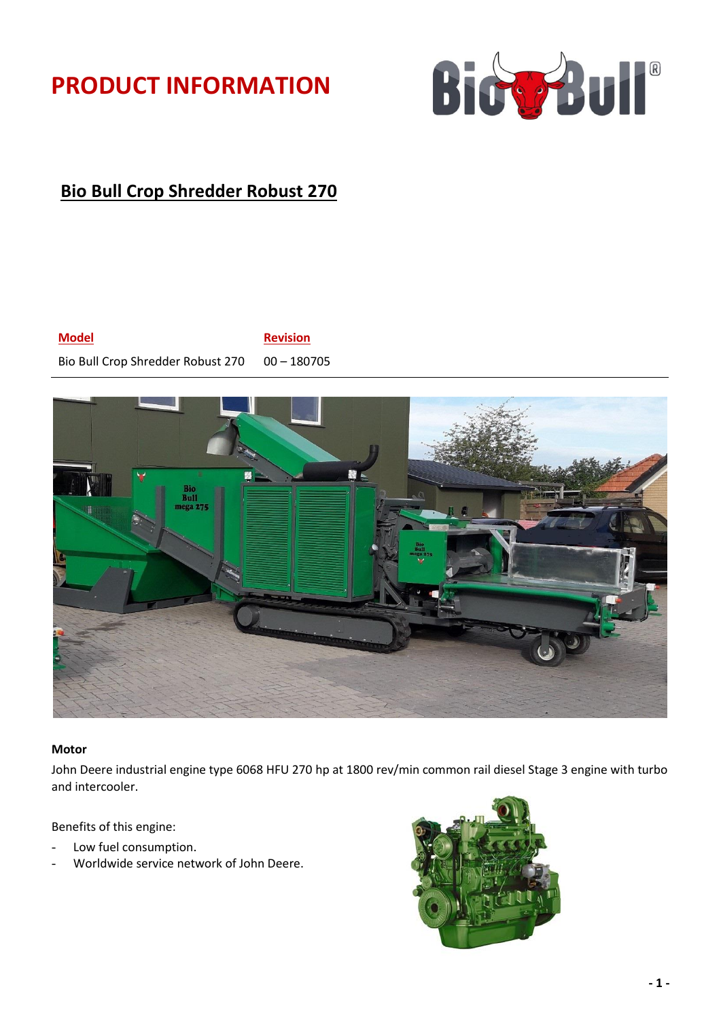# **PRODUCT INFORMATION**



# **Bio Bull Crop Shredder Robust 270**



Bio Bull Crop Shredder Robust 270 00 - 180705



#### **Motor**

John Deere industrial engine type 6068 HFU 270 hp at 1800 rev/min common rail diesel Stage 3 engine with turbo and intercooler.

Benefits of this engine:

- Low fuel consumption.
- Worldwide service network of John Deere.

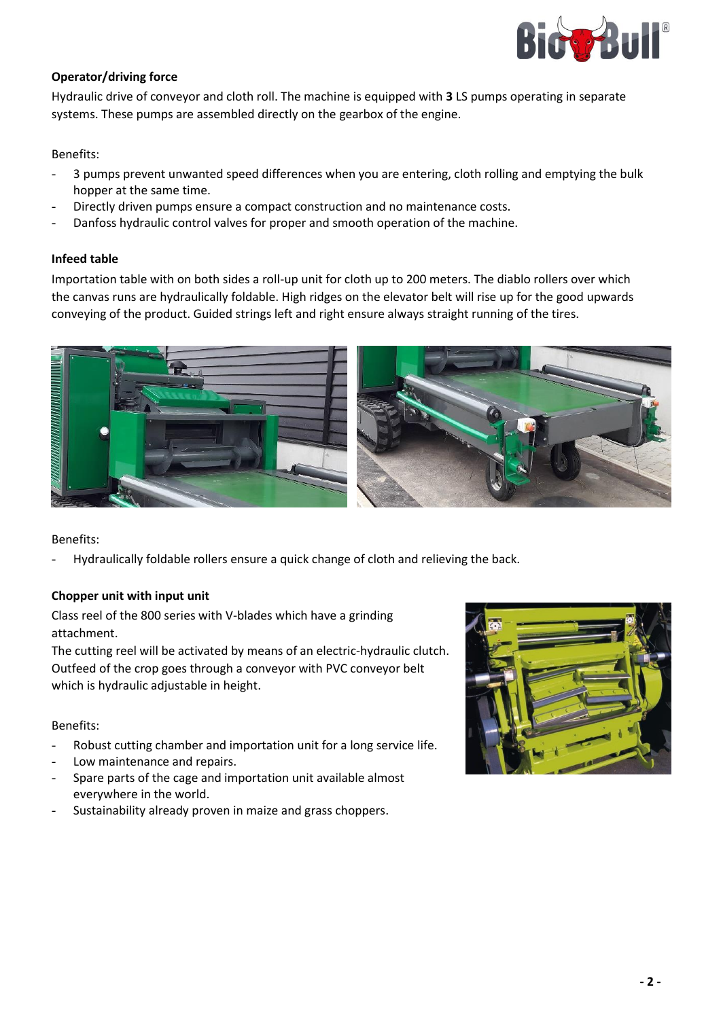

# **Operator/driving force**

Hydraulic drive of conveyor and cloth roll. The machine is equipped with **3** LS pumps operating in separate systems. These pumps are assembled directly on the gearbox of the engine.

Benefits:

- 3 pumps prevent unwanted speed differences when you are entering, cloth rolling and emptying the bulk hopper at the same time.
- Directly driven pumps ensure a compact construction and no maintenance costs.
- Danfoss hydraulic control valves for proper and smooth operation of the machine.

#### **Infeed table**

Importation table with on both sides a roll-up unit for cloth up to 200 meters. The diablo rollers over which the canvas runs are hydraulically foldable. High ridges on the elevator belt will rise up for the good upwards conveying of the product. Guided strings left and right ensure always straight running of the tires.



Benefits:

- Hydraulically foldable rollers ensure a quick change of cloth and relieving the back.

# **Chopper unit with input unit**

Class reel of the 800 series with V-blades which have a grinding attachment.

The cutting reel will be activated by means of an electric-hydraulic clutch. Outfeed of the crop goes through a conveyor with PVC conveyor belt which is hydraulic adjustable in height.

Benefits:

- Robust cutting chamber and importation unit for a long service life.
- Low maintenance and repairs.
- Spare parts of the cage and importation unit available almost everywhere in the world.
- Sustainability already proven in maize and grass choppers.